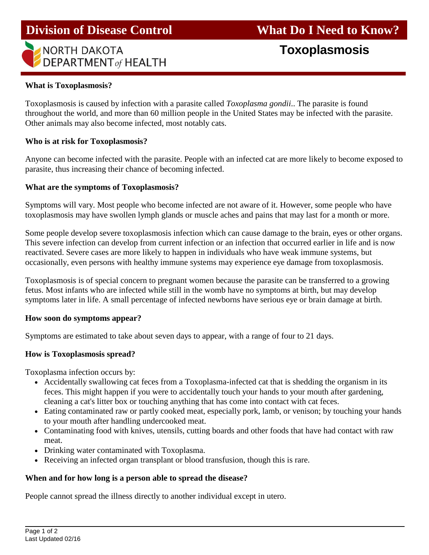# **NORTH DAKOTA DEPARTMENT** of HEALTH

# **Toxoplasmosis**

## **What is Toxoplasmosis?**

I

Toxoplasmosis is caused by infection with a parasite called *Toxoplasma gondii*.. The parasite is found throughout the world, and more than 60 million people in the United States may be infected with the parasite. Other animals may also become infected, most notably cats.

#### **Who is at risk for Toxoplasmosis?**

Anyone can become infected with the parasite. People with an infected cat are more likely to become exposed to parasite, thus increasing their chance of becoming infected.

#### **What are the symptoms of Toxoplasmosis?**

Symptoms will vary. Most people who become infected are not aware of it. However, some people who have toxoplasmosis may have swollen lymph glands or muscle aches and pains that may last for a month or more.

Some people develop severe toxoplasmosis infection which can cause damage to the brain, eyes or other organs. This severe infection can develop from current infection or an infection that occurred earlier in life and is now reactivated. Severe cases are more likely to happen in individuals who have weak immune systems, but occasionally, even persons with healthy immune systems may experience eye damage from toxoplasmosis.

Toxoplasmosis is of special concern to pregnant women because the parasite can be transferred to a growing fetus. Most infants who are infected while still in the womb have no symptoms at birth, but may develop symptoms later in life. A small percentage of infected newborns have serious eye or brain damage at birth.

#### **How soon do symptoms appear?**

Symptoms are estimated to take about seven days to appear, with a range of four to 21 days.

#### **How is Toxoplasmosis spread?**

Toxoplasma infection occurs by:

- Accidentally swallowing cat feces from a Toxoplasma-infected cat that is shedding the organism in its feces. This might happen if you were to accidentally touch your hands to your mouth after gardening, cleaning a cat's litter box or touching anything that has come into contact with cat feces.
- Eating contaminated raw or partly cooked meat, especially pork, lamb, or venison; by touching your hands to your mouth after handling undercooked meat.
- Contaminating food with knives, utensils, cutting boards and other foods that have had contact with raw meat.
- Drinking water contaminated with Toxoplasma.
- Receiving an infected organ transplant or blood transfusion, though this is rare.

#### **When and for how long is a person able to spread the disease?**

People cannot spread the illness directly to another individual except in utero.